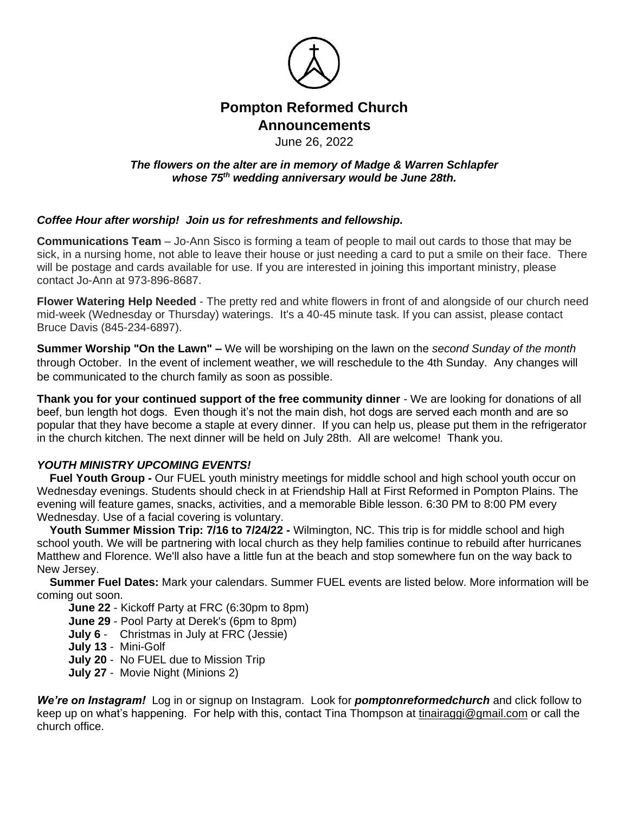

# **Pompton Reformed Church Announcements**

### June 26, 2022

#### *The flowers on the alter are in memory of Madge & Warren Schlapfer whose 75th wedding anniversary would be June 28th.*

## *Coffee Hour after worship! Join us for refreshments and fellowship.*

**Communications Team** – Jo-Ann Sisco is forming a team of people to mail out cards to those that may be sick, in a nursing home, not able to leave their house or just needing a card to put a smile on their face. There will be postage and cards available for use. If you are interested in joining this important ministry, please contact Jo-Ann at 973-896-8687.

**Flower Watering Help Needed** - The pretty red and white flowers in front of and alongside of our church need mid-week (Wednesday or Thursday) waterings. It's a 40-45 minute task. If you can assist, please contact Bruce Davis (845-234-6897).

**Summer Worship "On the Lawn" –** We will be worshiping on the lawn on the *second Sunday of the month* through October. In the event of inclement weather, we will reschedule to the 4th Sunday. Any changes will be communicated to the church family as soon as possible.

**Thank you for your continued support of the free community dinner** - We are looking for donations of all beef, bun length hot dogs. Even though it's not the main dish, hot dogs are served each month and are so popular that they have become a staple at every dinner. If you can help us, please put them in the refrigerator in the church kitchen. The next dinner will be held on July 28th. All are welcome! Thank you.

## *YOUTH MINISTRY UPCOMING EVENTS!*

 **Fuel Youth Group -** Our FUEL youth ministry meetings for middle school and high school youth occur on Wednesday evenings. Students should check in at Friendship Hall at First Reformed in Pompton Plains. The evening will feature games, snacks, activities, and a memorable Bible lesson. 6:30 PM to 8:00 PM every Wednesday. Use of a facial covering is voluntary.

 **Youth Summer Mission Trip: 7/16 to 7/24/22 -** Wilmington, NC. This trip is for middle school and high school youth. We will be partnering with local church as they help families continue to rebuild after hurricanes Matthew and Florence. We'll also have a little fun at the beach and stop somewhere fun on the way back to New Jersey.

 **Summer Fuel Dates:** Mark your calendars. Summer FUEL events are listed below. More information will be coming out soon.

**June 22** - Kickoff Party at FRC (6:30pm to 8pm)

- **June 29** Pool Party at Derek's (6pm to 8pm)
- **July 6** Christmas in July at FRC (Jessie)
- **July 13** Mini-Golf
- **July 20** No FUEL due to Mission Trip
- **July 27** Movie Night (Minions 2)

*We're on Instagram!* Log in or signup on Instagram. Look for *pomptonreformedchurch* and click follow to keep up on what's happening. For help with this, contact Tina Thompson at [tinairaggi@gmail.com](mailto:tinairaggi@gmail.com) or call the church office.